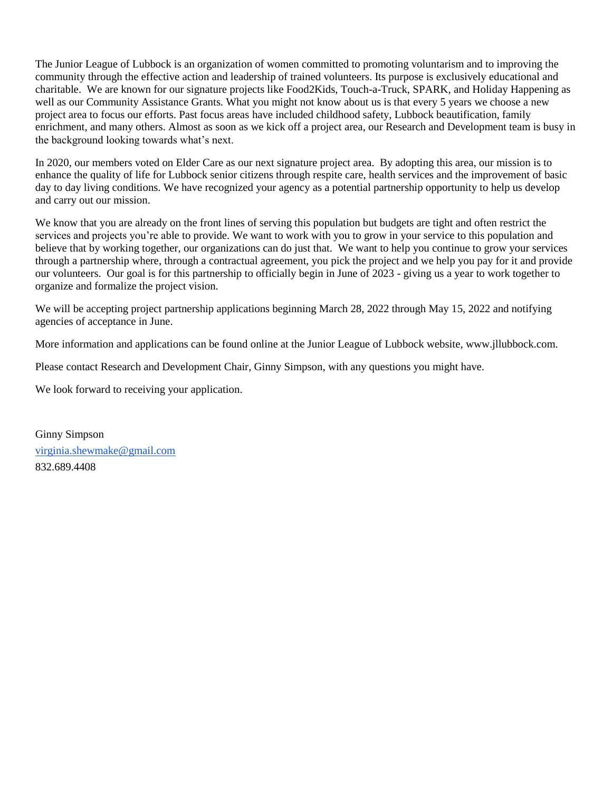The Junior League of Lubbock is an organization of women committed to promoting voluntarism and to improving the community through the effective action and leadership of trained volunteers. Its purpose is exclusively educational and charitable. We are known for our signature projects like Food2Kids, Touch-a-Truck, SPARK, and Holiday Happening as well as our Community Assistance Grants. What you might not know about us is that every 5 years we choose a new project area to focus our efforts. Past focus areas have included childhood safety, Lubbock beautification, family enrichment, and many others. Almost as soon as we kick off a project area, our Research and Development team is busy in the background looking towards what's next.

In 2020, our members voted on Elder Care as our next signature project area. By adopting this area, our mission is to enhance the quality of life for Lubbock senior citizens through respite care, health services and the improvement of basic day to day living conditions. We have recognized your agency as a potential partnership opportunity to help us develop and carry out our mission.

We know that you are already on the front lines of serving this population but budgets are tight and often restrict the services and projects you're able to provide. We want to work with you to grow in your service to this population and believe that by working together, our organizations can do just that. We want to help you continue to grow your services through a partnership where, through a contractual agreement, you pick the project and we help you pay for it and provide our volunteers. Our goal is for this partnership to officially begin in June of 2023 - giving us a year to work together to organize and formalize the project vision.

We will be accepting project partnership applications beginning March 28, 2022 through May 15, 2022 and notifying agencies of acceptance in June.

More information and applications can be found online at the Junior League of Lubbock website, www.jllubbock.com.

Please contact Research and Development Chair, Ginny Simpson, with any questions you might have.

We look forward to receiving your application.

Ginny Simpson [virginia.shewmake@gmail.com](mailto:virginia.shewmake@gmail.com) 832.689.4408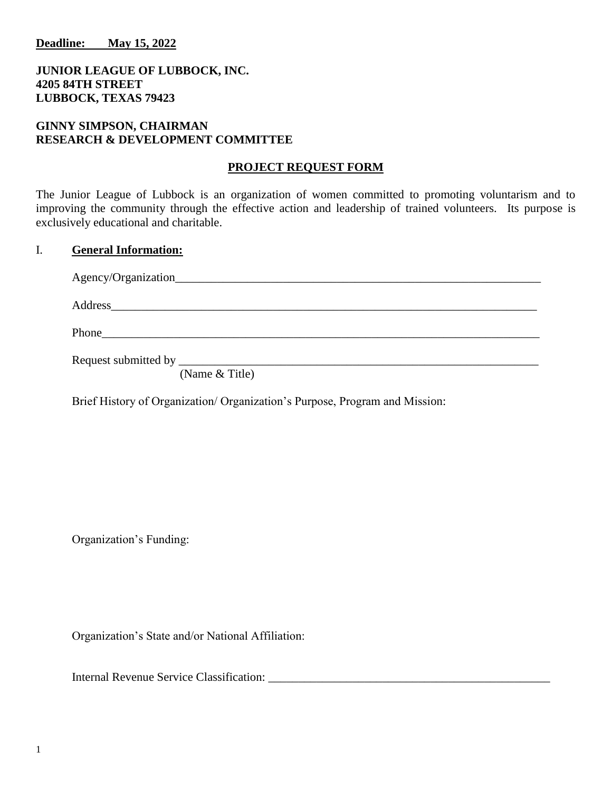**Deadline: May 15, 2022**

# **JUNIOR LEAGUE OF LUBBOCK, INC. 4205 84TH STREET LUBBOCK, TEXAS 79423**

## **GINNY SIMPSON, CHAIRMAN RESEARCH & DEVELOPMENT COMMITTEE**

#### **PROJECT REQUEST FORM**

The Junior League of Lubbock is an organization of women committed to promoting voluntarism and to improving the community through the effective action and leadership of trained volunteers. Its purpose is exclusively educational and charitable.

# I. **General Information:**

| $(N_{\text{ama}} 0, T_{\text{a}})$ |  |
|------------------------------------|--|

(Name & Title)

Brief History of Organization/ Organization's Purpose, Program and Mission:

Organization's Funding:

Organization's State and/or National Affiliation:

Internal Revenue Service Classification: \_\_\_\_\_\_\_\_\_\_\_\_\_\_\_\_\_\_\_\_\_\_\_\_\_\_\_\_\_\_\_\_\_\_\_\_\_\_\_\_\_\_\_\_\_\_\_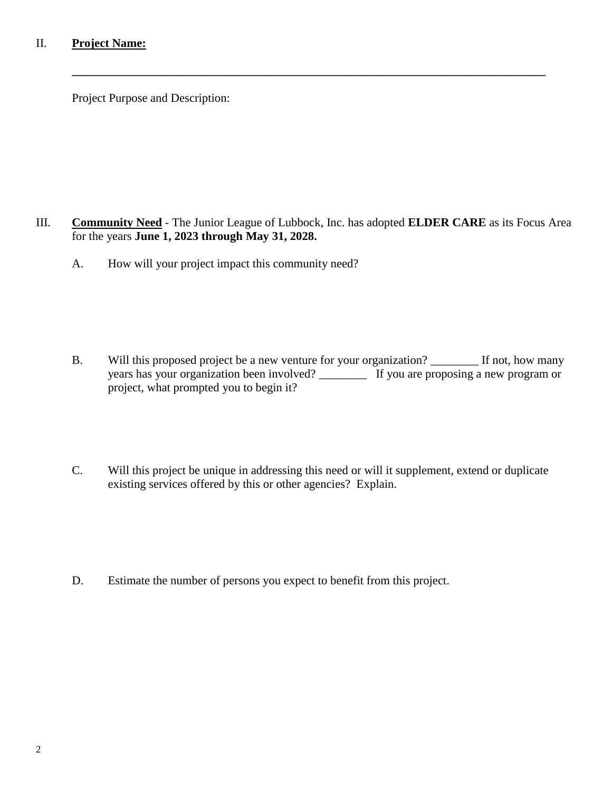# II. **Project Name:**

Project Purpose and Description:

III. **Community Need** - The Junior League of Lubbock, Inc. has adopted **ELDER CARE** as its Focus Area for the years **June 1, 2023 through May 31, 2028.**

**\_\_\_\_\_\_\_\_\_\_\_\_\_\_\_\_\_\_\_\_\_\_\_\_\_\_\_\_\_\_\_\_\_\_\_\_\_\_\_\_\_\_\_\_\_\_\_\_\_\_\_\_\_\_\_\_\_\_\_\_\_\_\_\_\_\_\_\_\_\_\_\_\_\_\_\_\_\_\_**

A. How will your project impact this community need?

- B. Will this proposed project be a new venture for your organization? \_\_\_\_\_\_\_\_\_ If not, how many years has your organization been involved? \_\_\_\_\_\_\_\_ If you are proposing a new program or project, what prompted you to begin it?
- C. Will this project be unique in addressing this need or will it supplement, extend or duplicate existing services offered by this or other agencies? Explain.

D. Estimate the number of persons you expect to benefit from this project.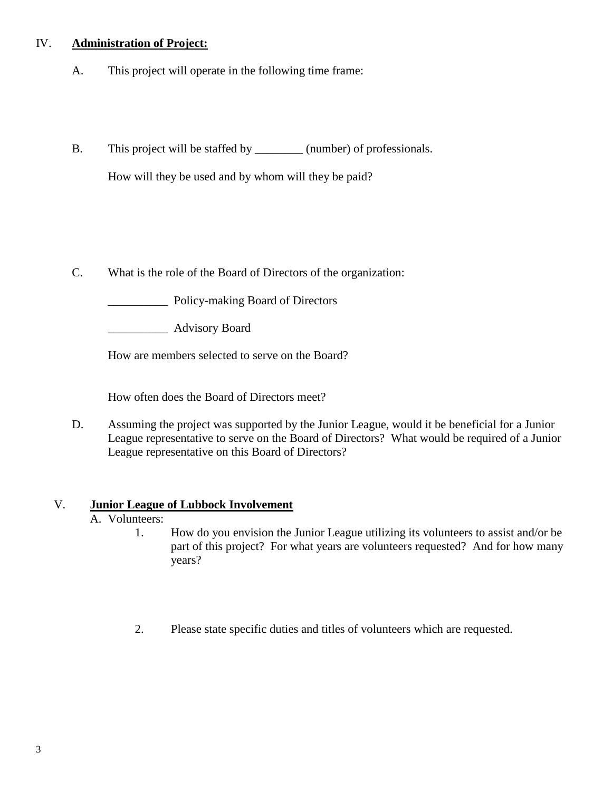# IV. **Administration of Project:**

- A. This project will operate in the following time frame:
- B. This project will be staffed by  $\qquad \qquad$  (number) of professionals.

How will they be used and by whom will they be paid?

C. What is the role of the Board of Directors of the organization:

\_\_\_\_\_\_\_\_\_\_ Policy-making Board of Directors

\_\_\_\_\_\_\_\_\_\_ Advisory Board

How are members selected to serve on the Board?

How often does the Board of Directors meet?

D. Assuming the project was supported by the Junior League, would it be beneficial for a Junior League representative to serve on the Board of Directors? What would be required of a Junior League representative on this Board of Directors?

# V. **Junior League of Lubbock Involvement**

- A. Volunteers:
	- 1. How do you envision the Junior League utilizing its volunteers to assist and/or be part of this project? For what years are volunteers requested? And for how many years?
	- 2. Please state specific duties and titles of volunteers which are requested.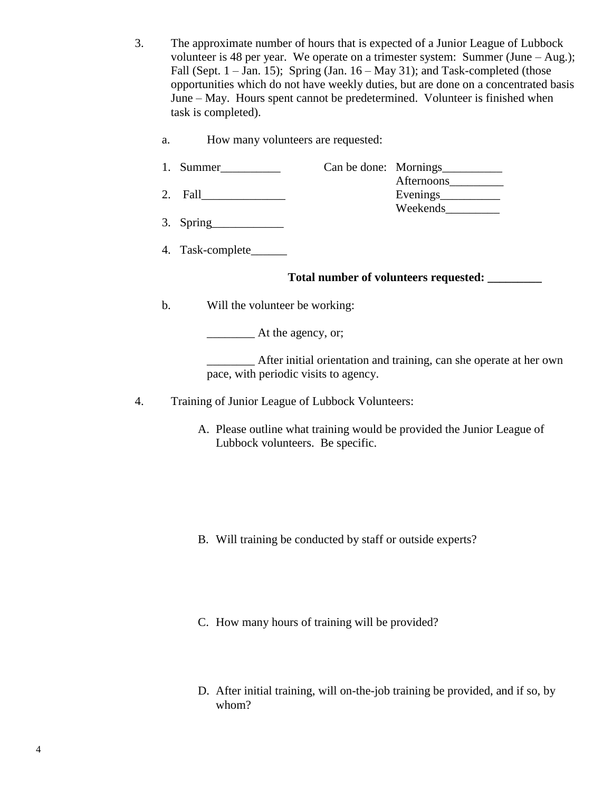- 3. The approximate number of hours that is expected of a Junior League of Lubbock volunteer is 48 per year. We operate on a trimester system: Summer (June – Aug.); Fall (Sept.  $1 - Jan. 15$ ); Spring (Jan.  $16 - May. 31$ ); and Task-completed (those opportunities which do not have weekly duties, but are done on a concentrated basis June – May. Hours spent cannot be predetermined. Volunteer is finished when task is completed).
	- a. How many volunteers are requested:
	- 1. Summer\_\_\_\_\_\_\_\_\_\_ Can be done: Mornings\_\_\_\_\_\_\_\_\_\_
	- Afternoons\_\_\_\_\_\_\_\_\_ 2. Fall\_\_\_\_\_\_\_\_\_\_\_\_\_\_ Evenings\_\_\_\_\_\_\_\_\_\_
	- 3. Spring\_\_\_\_\_\_\_\_\_\_\_\_
	- 4. Task-complete\_\_\_\_\_\_

# **Total number of volunteers requested: \_\_\_\_\_\_\_\_\_**

Weekends\_\_\_\_\_\_\_\_\_

b. Will the volunteer be working:

\_\_\_\_\_\_\_\_ At the agency, or;

\_\_\_\_\_\_\_\_ After initial orientation and training, can she operate at her own pace, with periodic visits to agency.

- 4. Training of Junior League of Lubbock Volunteers:
	- A. Please outline what training would be provided the Junior League of Lubbock volunteers. Be specific.

- B. Will training be conducted by staff or outside experts?
- C. How many hours of training will be provided?
- D. After initial training, will on-the-job training be provided, and if so, by whom?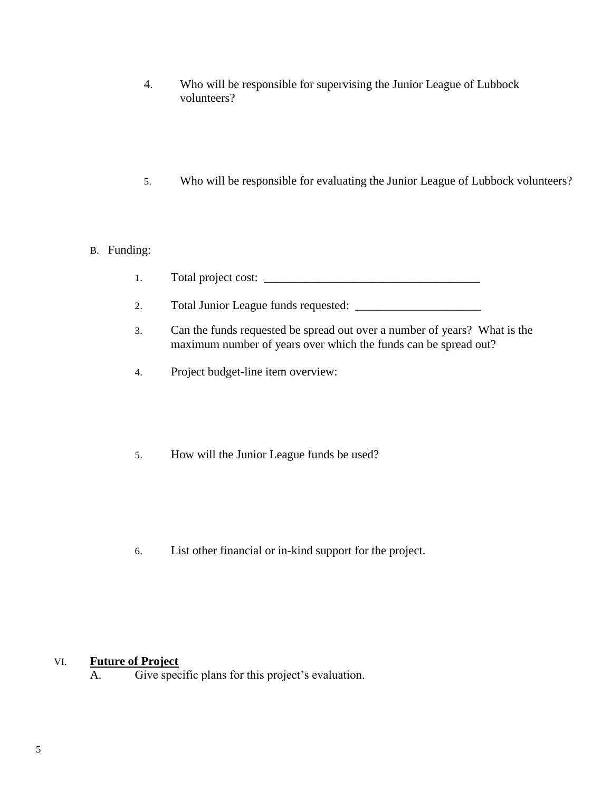- 4. Who will be responsible for supervising the Junior League of Lubbock volunteers?
- 5. Who will be responsible for evaluating the Junior League of Lubbock volunteers?

# B. Funding:

- 1. Total project cost: \_\_\_\_\_\_\_\_\_\_\_\_\_\_\_\_\_\_\_\_\_\_\_\_\_\_\_\_\_\_\_\_\_\_\_\_
- 2. Total Junior League funds requested: \_\_\_\_\_\_\_\_\_\_\_\_\_\_\_\_\_\_\_\_\_
- 3. Can the funds requested be spread out over a number of years? What is the maximum number of years over which the funds can be spread out?
- 4. Project budget-line item overview:
- 5. How will the Junior League funds be used?

6. List other financial or in-kind support for the project.

# VI. **Future of Project**

A. Give specific plans for this project's evaluation.